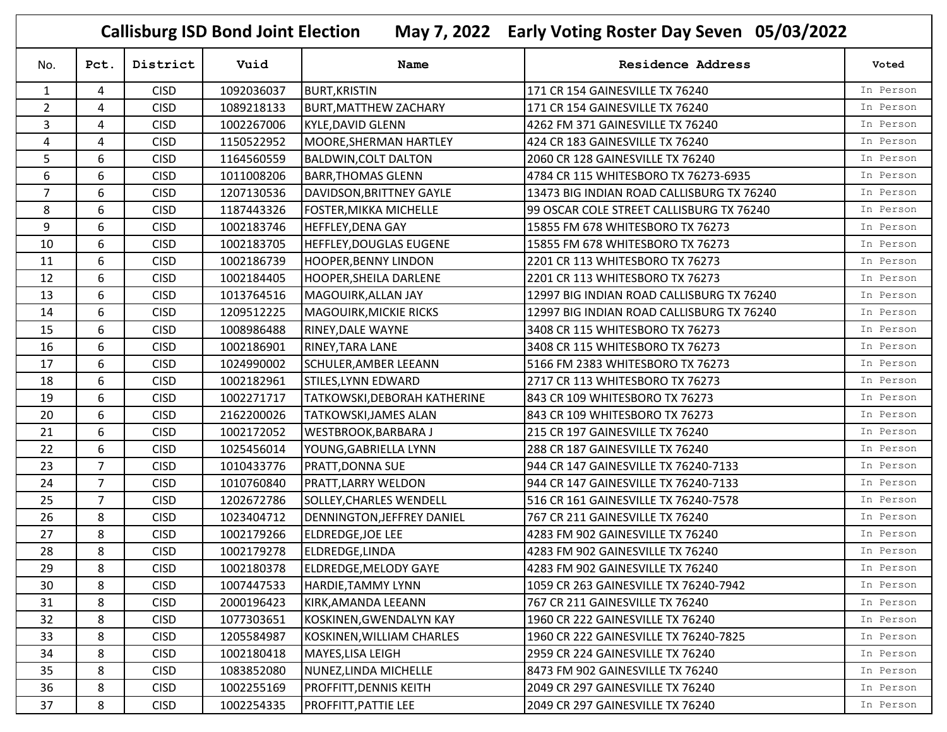| <b>Callisburg ISD Bond Joint Election</b><br>May 7, 2022 Early Voting Roster Day Seven 05/03/2022 |                |             |            |                                |                                           |           |  |  |  |
|---------------------------------------------------------------------------------------------------|----------------|-------------|------------|--------------------------------|-------------------------------------------|-----------|--|--|--|
| No.                                                                                               | Pct.           | District    | Vuid       | Name                           | <b>Residence Address</b>                  | Voted     |  |  |  |
| $\mathbf{1}$                                                                                      | 4              | <b>CISD</b> | 1092036037 | <b>BURT, KRISTIN</b>           | 171 CR 154 GAINESVILLE TX 76240           | In Person |  |  |  |
| $\overline{2}$                                                                                    | 4              | <b>CISD</b> | 1089218133 | <b>BURT, MATTHEW ZACHARY</b>   | 171 CR 154 GAINESVILLE TX 76240           | In Person |  |  |  |
| 3                                                                                                 | 4              | <b>CISD</b> | 1002267006 | <b>KYLE, DAVID GLENN</b>       | 4262 FM 371 GAINESVILLE TX 76240          | In Person |  |  |  |
| 4                                                                                                 | 4              | <b>CISD</b> | 1150522952 | MOORE, SHERMAN HARTLEY         | 424 CR 183 GAINESVILLE TX 76240           | In Person |  |  |  |
| 5                                                                                                 | 6              | <b>CISD</b> | 1164560559 | <b>BALDWIN, COLT DALTON</b>    | 2060 CR 128 GAINESVILLE TX 76240          | In Person |  |  |  |
| 6                                                                                                 | 6              | <b>CISD</b> | 1011008206 | <b>BARR, THOMAS GLENN</b>      | 4784 CR 115 WHITESBORO TX 76273-6935      | In Person |  |  |  |
| $\overline{7}$                                                                                    | 6              | <b>CISD</b> | 1207130536 | DAVIDSON, BRITTNEY GAYLE       | 13473 BIG INDIAN ROAD CALLISBURG TX 76240 | In Person |  |  |  |
| 8                                                                                                 | 6              | <b>CISD</b> | 1187443326 | <b>FOSTER, MIKKA MICHELLE</b>  | 99 OSCAR COLE STREET CALLISBURG TX 76240  | In Person |  |  |  |
| 9                                                                                                 | 6              | <b>CISD</b> | 1002183746 | <b>HEFFLEY, DENA GAY</b>       | 15855 FM 678 WHITESBORO TX 76273          | In Person |  |  |  |
| 10                                                                                                | 6              | <b>CISD</b> | 1002183705 | <b>HEFFLEY, DOUGLAS EUGENE</b> | 15855 FM 678 WHITESBORO TX 76273          | In Person |  |  |  |
| 11                                                                                                | 6              | <b>CISD</b> | 1002186739 | <b>HOOPER, BENNY LINDON</b>    | 2201 CR 113 WHITESBORO TX 76273           | In Person |  |  |  |
| 12                                                                                                | 6              | <b>CISD</b> | 1002184405 | <b>HOOPER, SHEILA DARLENE</b>  | 2201 CR 113 WHITESBORO TX 76273           | In Person |  |  |  |
| 13                                                                                                | 6              | <b>CISD</b> | 1013764516 | MAGOUIRK, ALLAN JAY            | 12997 BIG INDIAN ROAD CALLISBURG TX 76240 | In Person |  |  |  |
| 14                                                                                                | 6              | <b>CISD</b> | 1209512225 | <b>MAGOUIRK, MICKIE RICKS</b>  | 12997 BIG INDIAN ROAD CALLISBURG TX 76240 | In Person |  |  |  |
| 15                                                                                                | 6              | <b>CISD</b> | 1008986488 | <b>RINEY, DALE WAYNE</b>       | 3408 CR 115 WHITESBORO TX 76273           | In Person |  |  |  |
| 16                                                                                                | 6              | <b>CISD</b> | 1002186901 | <b>RINEY, TARA LANE</b>        | 3408 CR 115 WHITESBORO TX 76273           | In Person |  |  |  |
| 17                                                                                                | 6              | <b>CISD</b> | 1024990002 | <b>SCHULER, AMBER LEEANN</b>   | 5166 FM 2383 WHITESBORO TX 76273          | In Person |  |  |  |
| 18                                                                                                | 6              | <b>CISD</b> | 1002182961 | STILES, LYNN EDWARD            | 2717 CR 113 WHITESBORO TX 76273           | In Person |  |  |  |
| 19                                                                                                | 6              | <b>CISD</b> | 1002271717 | TATKOWSKI, DEBORAH KATHERINE   | 843 CR 109 WHITESBORO TX 76273            | In Person |  |  |  |
| 20                                                                                                | 6              | <b>CISD</b> | 2162200026 | <b>TATKOWSKI, JAMES ALAN</b>   | 843 CR 109 WHITESBORO TX 76273            | In Person |  |  |  |
| 21                                                                                                | 6              | <b>CISD</b> | 1002172052 | <b>WESTBROOK, BARBARA J</b>    | 215 CR 197 GAINESVILLE TX 76240           | In Person |  |  |  |
| 22                                                                                                | 6              | <b>CISD</b> | 1025456014 | YOUNG, GABRIELLA LYNN          | 288 CR 187 GAINESVILLE TX 76240           | In Person |  |  |  |
| 23                                                                                                | $\overline{7}$ | <b>CISD</b> | 1010433776 | <b>PRATT, DONNA SUE</b>        | 944 CR 147 GAINESVILLE TX 76240-7133      | In Person |  |  |  |
| 24                                                                                                | 7              | <b>CISD</b> | 1010760840 | PRATT, LARRY WELDON            | 944 CR 147 GAINESVILLE TX 76240-7133      | In Person |  |  |  |
| 25                                                                                                | $\overline{7}$ | <b>CISD</b> | 1202672786 | SOLLEY, CHARLES WENDELL        | 516 CR 161 GAINESVILLE TX 76240-7578      | In Person |  |  |  |
| 26                                                                                                | 8              | <b>CISD</b> | 1023404712 | DENNINGTON, JEFFREY DANIEL     | 767 CR 211 GAINESVILLE TX 76240           | In Person |  |  |  |
| 27                                                                                                | 8              | <b>CISD</b> | 1002179266 | <b>ELDREDGE, JOE LEE</b>       | 4283 FM 902 GAINESVILLE TX 76240          | In Person |  |  |  |
| 28                                                                                                | 8              | <b>CISD</b> | 1002179278 | ELDREDGE,LINDA                 | 4283 FM 902 GAINESVILLE TX 76240          | In Person |  |  |  |
| 29                                                                                                | 8              | <b>CISD</b> | 1002180378 | ELDREDGE, MELODY GAYE          | 4283 FM 902 GAINESVILLE TX 76240          | In Person |  |  |  |
| 30                                                                                                | 8              | <b>CISD</b> | 1007447533 | HARDIE, TAMMY LYNN             | 1059 CR 263 GAINESVILLE TX 76240-7942     | In Person |  |  |  |
| 31                                                                                                | 8              | <b>CISD</b> | 2000196423 | KIRK, AMANDA LEEANN            | 767 CR 211 GAINESVILLE TX 76240           | In Person |  |  |  |
| 32                                                                                                | 8              | <b>CISD</b> | 1077303651 | KOSKINEN, GWENDALYN KAY        | 1960 CR 222 GAINESVILLE TX 76240          | In Person |  |  |  |
| 33                                                                                                | 8              | <b>CISD</b> | 1205584987 | KOSKINEN, WILLIAM CHARLES      | 1960 CR 222 GAINESVILLE TX 76240-7825     | In Person |  |  |  |
| 34                                                                                                | 8              | <b>CISD</b> | 1002180418 | MAYES, LISA LEIGH              | 2959 CR 224 GAINESVILLE TX 76240          | In Person |  |  |  |
| 35                                                                                                | 8              | <b>CISD</b> | 1083852080 | NUNEZ, LINDA MICHELLE          | 8473 FM 902 GAINESVILLE TX 76240          | In Person |  |  |  |
| 36                                                                                                | 8              | <b>CISD</b> | 1002255169 | <b>PROFFITT, DENNIS KEITH</b>  | 2049 CR 297 GAINESVILLE TX 76240          | In Person |  |  |  |
| 37                                                                                                | 8              | <b>CISD</b> | 1002254335 | <b>PROFFITT, PATTIE LEE</b>    | 2049 CR 297 GAINESVILLE TX 76240          | In Person |  |  |  |

r